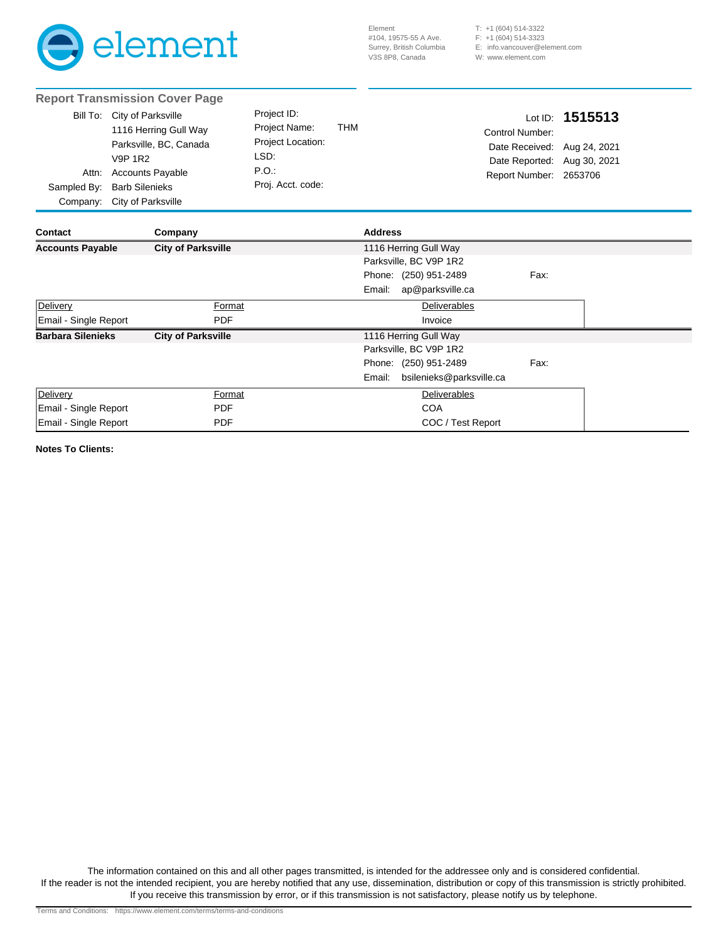

(604) 514-3322 T: +1 (604) 514-3323 F: +1 E: info.vancouver@element.com W: www.element.com

|                                                                               | <b>Report Transmission Cover Page</b>                                                                                                                                      |                                                                                        |              |                |                          |                                                                                                                    |         |  |
|-------------------------------------------------------------------------------|----------------------------------------------------------------------------------------------------------------------------------------------------------------------------|----------------------------------------------------------------------------------------|--------------|----------------|--------------------------|--------------------------------------------------------------------------------------------------------------------|---------|--|
| Attn:<br>Sampled By:<br>Company:                                              | Bill To: City of Parksville<br>1116 Herring Gull Way<br>Parksville, BC, Canada<br><b>V9P 1R2</b><br><b>Accounts Payable</b><br><b>Barb Silenieks</b><br>City of Parksville | Project ID:<br>Project Name:<br>Project Location:<br>LSD:<br>P.O.<br>Proj. Acct. code: | <b>THM</b>   |                |                          | Lot ID:<br>Control Number:<br>Date Received: Aug 24, 2021<br>Date Reported: Aug 30, 2021<br>Report Number: 2653706 | 1515513 |  |
| <b>Contact</b>                                                                | Company                                                                                                                                                                    |                                                                                        |              | <b>Address</b> |                          |                                                                                                                    |         |  |
| 1116 Herring Gull Way<br><b>Accounts Payable</b><br><b>City of Parksville</b> |                                                                                                                                                                            |                                                                                        |              |                |                          |                                                                                                                    |         |  |
|                                                                               |                                                                                                                                                                            |                                                                                        |              |                | Parksville, BC V9P 1R2   |                                                                                                                    |         |  |
|                                                                               |                                                                                                                                                                            |                                                                                        |              |                | Phone: (250) 951-2489    | Fax:                                                                                                               |         |  |
|                                                                               |                                                                                                                                                                            |                                                                                        |              | Email:         | ap@parksville.ca         |                                                                                                                    |         |  |
| Delivery                                                                      | Format                                                                                                                                                                     |                                                                                        |              |                | <b>Deliverables</b>      |                                                                                                                    |         |  |
| Email - Single Report                                                         | <b>PDF</b>                                                                                                                                                                 |                                                                                        |              |                | Invoice                  |                                                                                                                    |         |  |
|                                                                               | <b>City of Parksville</b><br><b>Barbara Silenieks</b>                                                                                                                      |                                                                                        |              |                | 1116 Herring Gull Way    |                                                                                                                    |         |  |
|                                                                               |                                                                                                                                                                            |                                                                                        |              |                | Parksville, BC V9P 1R2   |                                                                                                                    |         |  |
|                                                                               |                                                                                                                                                                            |                                                                                        |              |                | Phone: (250) 951-2489    | Fax:                                                                                                               |         |  |
|                                                                               |                                                                                                                                                                            |                                                                                        |              | Email:         | bsilenieks@parksville.ca |                                                                                                                    |         |  |
| <b>Delivery</b>                                                               | Format                                                                                                                                                                     |                                                                                        | Deliverables |                |                          |                                                                                                                    |         |  |
| Email - Single Report                                                         | <b>PDF</b>                                                                                                                                                                 |                                                                                        | <b>COA</b>   |                |                          |                                                                                                                    |         |  |
|                                                                               | Email - Single Report<br><b>PDF</b><br>COC / Test Report                                                                                                                   |                                                                                        |              |                |                          |                                                                                                                    |         |  |

**Notes To Clients:**

The information contained on this and all other pages transmitted, is intended for the addressee only and is considered confidential. If the reader is not the intended recipient, you are hereby notified that any use, dissemination, distribution or copy of this transmission is strictly prohibited. If you receive this transmission by error, or if this transmission is not satisfactory, please notify us by telephone.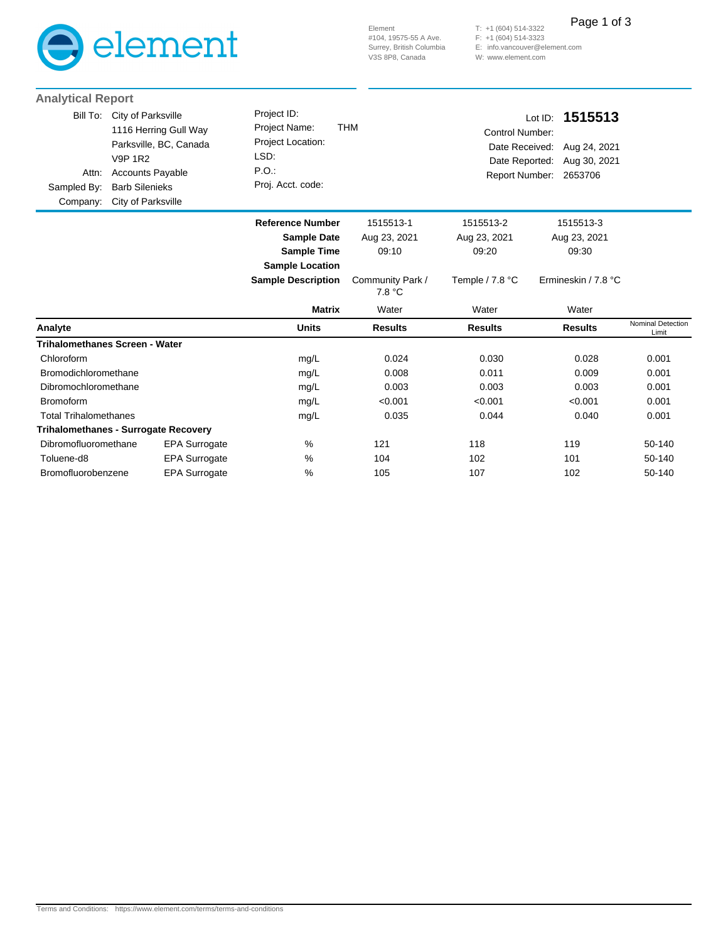

(604) 514-3322 (604) 514-3323 E: info.vancouver@element.com W: www.element.com T: +1 F: +1 Page 1 of 3

| <b>Analytical Report</b>                     |                                                                                                                                                                   |                                                                                               |                                    |                                                            |                                                                           |                            |
|----------------------------------------------|-------------------------------------------------------------------------------------------------------------------------------------------------------------------|-----------------------------------------------------------------------------------------------|------------------------------------|------------------------------------------------------------|---------------------------------------------------------------------------|----------------------------|
| Bill To:<br>Attn:<br>Sampled By:<br>Company: | City of Parksville<br>1116 Herring Gull Way<br>Parksville, BC, Canada<br><b>V9P 1R2</b><br><b>Accounts Payable</b><br><b>Barb Silenieks</b><br>City of Parksville | Project ID:<br>Project Name:<br>Project Location:<br>LSD:<br>P.O.<br>Proj. Acct. code:        | <b>THM</b>                         | <b>Control Number:</b><br>Date Received:<br>Date Reported: | Lot ID: 1515513<br>Aug 24, 2021<br>Aug 30, 2021<br>Report Number: 2653706 |                            |
|                                              |                                                                                                                                                                   | <b>Reference Number</b><br><b>Sample Date</b><br><b>Sample Time</b><br><b>Sample Location</b> | 1515513-1<br>Aug 23, 2021<br>09:10 | 1515513-2<br>Aug 23, 2021<br>09:20                         | 1515513-3<br>Aug 23, 2021<br>09:30                                        |                            |
|                                              |                                                                                                                                                                   | <b>Sample Description</b>                                                                     | Community Park /<br>7.8 °C         | Temple / 7.8 °C                                            | Ermineskin / 7.8 °C                                                       |                            |
|                                              |                                                                                                                                                                   | <b>Matrix</b>                                                                                 | Water                              | Water                                                      | Water                                                                     |                            |
| Analyte                                      |                                                                                                                                                                   | <b>Units</b>                                                                                  | <b>Results</b>                     | <b>Results</b>                                             | <b>Results</b>                                                            | Nominal Detection<br>Limit |
|                                              | <b>Trihalomethanes Screen - Water</b>                                                                                                                             |                                                                                               |                                    |                                                            |                                                                           |                            |
| Chloroform                                   |                                                                                                                                                                   | mg/L                                                                                          | 0.024                              | 0.030                                                      | 0.028                                                                     | 0.001                      |
| Bromodichloromethane                         |                                                                                                                                                                   | mg/L                                                                                          | 0.008                              | 0.011                                                      | 0.009                                                                     | 0.001                      |
| Dibromochloromethane                         |                                                                                                                                                                   | mg/L                                                                                          | 0.003                              | 0.003                                                      | 0.003                                                                     | 0.001                      |
| <b>Bromoform</b>                             |                                                                                                                                                                   | mg/L                                                                                          | < 0.001                            | < 0.001                                                    | < 0.001                                                                   | 0.001                      |
| <b>Total Trihalomethanes</b>                 |                                                                                                                                                                   | mg/L                                                                                          | 0.035                              | 0.044                                                      | 0.040                                                                     | 0.001                      |
|                                              | Trihalomethanes - Surrogate Recovery                                                                                                                              |                                                                                               |                                    |                                                            |                                                                           |                            |
| Dibromofluoromethane                         | <b>EPA Surrogate</b>                                                                                                                                              | %                                                                                             | 121                                | 118                                                        | 119                                                                       | 50-140                     |
| Toluene-d8                                   | EPA Surrogate                                                                                                                                                     | $\%$                                                                                          | 104                                | 102                                                        | 101                                                                       | 50-140                     |
| Bromofluorobenzene                           | EPA Surrogate                                                                                                                                                     | %                                                                                             | 105                                | 107                                                        | 102                                                                       | 50-140                     |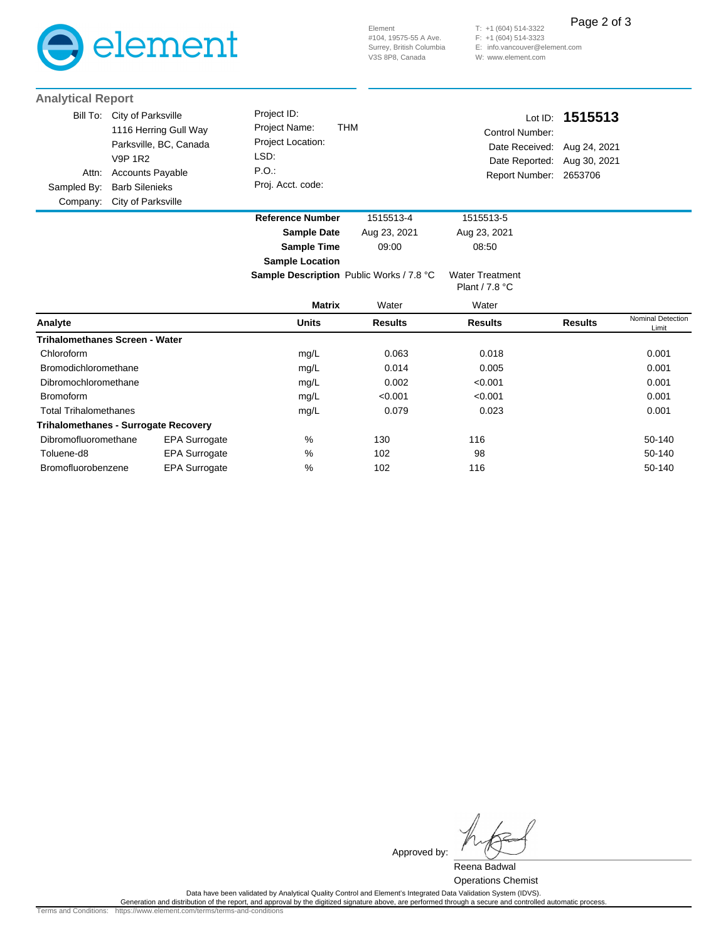

(604) 514-3322 T: +1 (604) 514-3323 F: +1 E: info.vancouver@element.com W: www.element.com Page 2 of 3

| <b>Analytical Report</b>                     |                                                                                                                                                            |                                                                                               |              |                                                                                                         |                 |
|----------------------------------------------|------------------------------------------------------------------------------------------------------------------------------------------------------------|-----------------------------------------------------------------------------------------------|--------------|---------------------------------------------------------------------------------------------------------|-----------------|
| Bill To:<br>Attn:<br>Sampled By:<br>Company: | City of Parksville<br>1116 Herring Gull Way<br>Parksville, BC, Canada<br>V9P 1R2<br><b>Accounts Payable</b><br><b>Barb Silenieks</b><br>City of Parksville | Project ID:<br>Project Name:<br><b>Project Location:</b><br>LSD:<br>P.O.<br>Proj. Acct. code: | THM          | Control Number:<br>Date Received: Aug 24, 2021<br>Date Reported: Aug 30, 2021<br>Report Number: 2653706 | Lot ID: 1515513 |
|                                              |                                                                                                                                                            | <b>Reference Number</b>                                                                       | 1515513-4    | 1515513-5                                                                                               |                 |
|                                              |                                                                                                                                                            | <b>Sample Date</b>                                                                            | Aug 23, 2021 | Aug 23, 2021                                                                                            |                 |

**Sample Location**

**Sample Time** 09:00 08:50

|                                             |                      | <b>Sample Description</b> Public Works / 7.8 °C |                | <b>Water Treatment</b><br>Plant / 7.8 °C |                |                            |
|---------------------------------------------|----------------------|-------------------------------------------------|----------------|------------------------------------------|----------------|----------------------------|
|                                             |                      | <b>Matrix</b>                                   | Water          | Water                                    |                |                            |
| Analyte                                     |                      | <b>Units</b>                                    | <b>Results</b> | <b>Results</b>                           | <b>Results</b> | Nominal Detection<br>Limit |
| <b>Trihalomethanes Screen - Water</b>       |                      |                                                 |                |                                          |                |                            |
| Chloroform                                  |                      | mg/L                                            | 0.063          | 0.018                                    |                | 0.001                      |
| Bromodichloromethane                        |                      | mg/L                                            | 0.014          | 0.005                                    |                | 0.001                      |
| Dibromochloromethane                        |                      | mg/L                                            | 0.002          | < 0.001                                  |                | 0.001                      |
| <b>Bromoform</b>                            |                      | mg/L                                            | < 0.001        | < 0.001                                  |                | 0.001                      |
| <b>Total Trihalomethanes</b>                |                      | mg/L                                            | 0.079          | 0.023                                    |                | 0.001                      |
| <b>Trihalomethanes - Surrogate Recovery</b> |                      |                                                 |                |                                          |                |                            |
| Dibromofluoromethane                        | <b>EPA Surrogate</b> | %                                               | 130            | 116                                      |                | 50-140                     |
| Toluene-d8                                  | <b>EPA Surrogate</b> | %                                               | 102            | 98                                       |                | 50-140                     |
| Bromofluorobenzene                          | <b>EPA Surrogate</b> | %                                               | 102            | 116                                      |                | 50-140                     |

Approved by:

Reena Badwal Operations Chemist

.Data have been validated by Analytical Quality Control and Element's Integrated Data Validation System (IDVS)<br>Generation and distribution of the report, and approval by the digitized signature above, are performed through